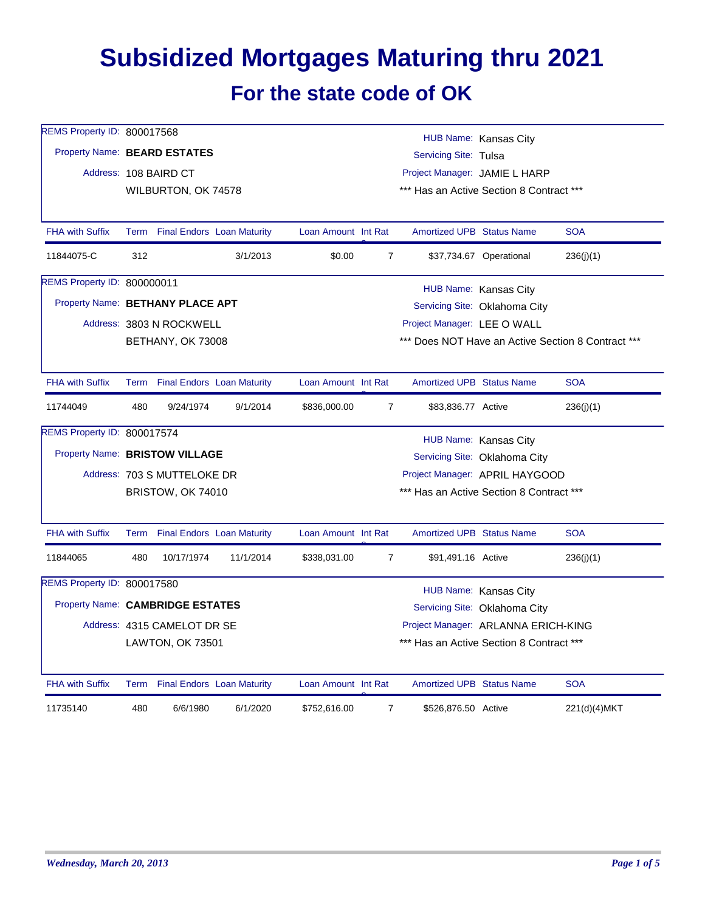## **Subsidized Mortgages Maturing thru 2021 For the state code of OK**

| REMS Property ID: 800017568      |                                                                                            |                                 |           |                               |                                          |                                  | HUB Name: Kansas City                    |                                                    |  |  |
|----------------------------------|--------------------------------------------------------------------------------------------|---------------------------------|-----------|-------------------------------|------------------------------------------|----------------------------------|------------------------------------------|----------------------------------------------------|--|--|
| Property Name: BEARD ESTATES     |                                                                                            |                                 |           | Servicing Site: Tulsa         |                                          |                                  |                                          |                                                    |  |  |
|                                  |                                                                                            | Address: 108 BAIRD CT           |           | Project Manager: JAMIE L HARP |                                          |                                  |                                          |                                                    |  |  |
|                                  |                                                                                            | WILBURTON, OK 74578             |           |                               |                                          |                                  | *** Has an Active Section 8 Contract *** |                                                    |  |  |
|                                  |                                                                                            |                                 |           |                               |                                          |                                  |                                          |                                                    |  |  |
| <b>FHA with Suffix</b>           |                                                                                            | Term Final Endors Loan Maturity |           | Loan Amount Int Rat           |                                          | <b>Amortized UPB Status Name</b> |                                          | <b>SOA</b>                                         |  |  |
| 11844075-C                       | 312                                                                                        |                                 | 3/1/2013  | \$0.00                        | $\overline{7}$                           |                                  | \$37,734.67 Operational                  | 236(j)(1)                                          |  |  |
| REMS Property ID: 800000011      |                                                                                            |                                 |           |                               |                                          |                                  | HUB Name: Kansas City                    |                                                    |  |  |
| Property Name: BETHANY PLACE APT |                                                                                            |                                 |           |                               |                                          |                                  | Servicing Site: Oklahoma City            |                                                    |  |  |
|                                  |                                                                                            | Address: 3803 N ROCKWELL        |           |                               |                                          | Project Manager: LEE O WALL      |                                          |                                                    |  |  |
|                                  |                                                                                            | BETHANY, OK 73008               |           |                               |                                          |                                  |                                          | *** Does NOT Have an Active Section 8 Contract *** |  |  |
|                                  |                                                                                            |                                 |           |                               |                                          |                                  |                                          |                                                    |  |  |
| <b>FHA with Suffix</b>           |                                                                                            | Term Final Endors Loan Maturity |           | Loan Amount Int Rat           |                                          | <b>Amortized UPB Status Name</b> |                                          | <b>SOA</b>                                         |  |  |
| 11744049                         | 480                                                                                        | 9/24/1974                       | 9/1/2014  | \$836,000.00                  | $\overline{7}$                           | \$83,836.77 Active               |                                          | 236(j)(1)                                          |  |  |
| REMS Property ID: 800017574      |                                                                                            |                                 |           |                               |                                          |                                  | HUB Name: Kansas City                    |                                                    |  |  |
|                                  | Property Name: BRISTOW VILLAGE<br>Servicing Site: Oklahoma City                            |                                 |           |                               |                                          |                                  |                                          |                                                    |  |  |
|                                  | Project Manager: APRIL HAYGOOD<br>Address: 703 S MUTTELOKE DR                              |                                 |           |                               |                                          |                                  |                                          |                                                    |  |  |
|                                  |                                                                                            | BRISTOW, OK 74010               |           |                               |                                          |                                  | *** Has an Active Section 8 Contract *** |                                                    |  |  |
|                                  |                                                                                            |                                 |           |                               |                                          |                                  |                                          |                                                    |  |  |
| <b>FHA with Suffix</b>           |                                                                                            | Term Final Endors Loan Maturity |           | Loan Amount Int Rat           |                                          | <b>Amortized UPB Status Name</b> |                                          | <b>SOA</b>                                         |  |  |
| 11844065                         | 480                                                                                        | 10/17/1974                      | 11/1/2014 | \$338,031.00                  | $\overline{7}$                           | \$91,491.16 Active               |                                          | 236(j)(1)                                          |  |  |
| REMS Property ID: 800017580      |                                                                                            |                                 |           |                               |                                          |                                  |                                          |                                                    |  |  |
|                                  | HUB Name: Kansas City<br>Property Name: CAMBRIDGE ESTATES<br>Servicing Site: Oklahoma City |                                 |           |                               |                                          |                                  |                                          |                                                    |  |  |
|                                  | Project Manager: ARLANNA ERICH-KING<br>Address: 4315 CAMELOT DR SE                         |                                 |           |                               |                                          |                                  |                                          |                                                    |  |  |
|                                  |                                                                                            | LAWTON, OK 73501                |           |                               | *** Has an Active Section 8 Contract *** |                                  |                                          |                                                    |  |  |
|                                  |                                                                                            |                                 |           |                               |                                          |                                  |                                          |                                                    |  |  |
| <b>FHA with Suffix</b>           |                                                                                            | Term Final Endors Loan Maturity |           | Loan Amount Int Rat           |                                          | <b>Amortized UPB Status Name</b> |                                          | <b>SOA</b>                                         |  |  |
| 11735140                         | 480                                                                                        | 6/6/1980                        | 6/1/2020  | \$752,616.00                  | $\overline{7}$                           | \$526,876.50 Active              |                                          | 221(d)(4)MKT                                       |  |  |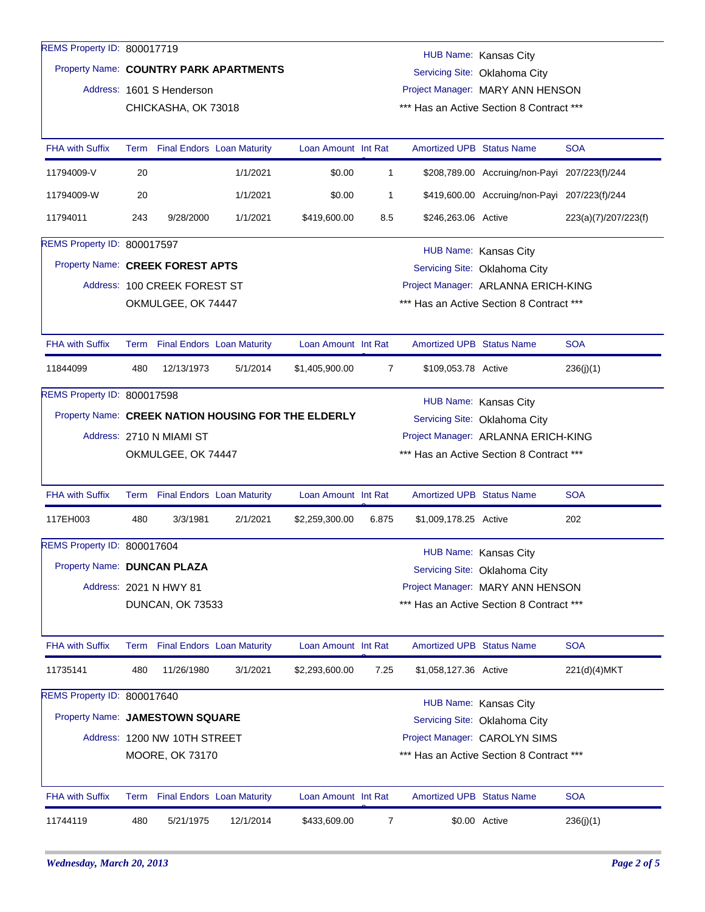| REMS Property ID: 800017719      |                                                                                                  |                                 |                                 |                     |                |                                          |                                               |                      |  |  |
|----------------------------------|--------------------------------------------------------------------------------------------------|---------------------------------|---------------------------------|---------------------|----------------|------------------------------------------|-----------------------------------------------|----------------------|--|--|
|                                  | HUB Name: Kansas City<br>Property Name: COUNTRY PARK APARTMENTS<br>Servicing Site: Oklahoma City |                                 |                                 |                     |                |                                          |                                               |                      |  |  |
|                                  |                                                                                                  | Address: 1601 S Henderson       |                                 |                     |                | Project Manager: MARY ANN HENSON         |                                               |                      |  |  |
|                                  | CHICKASHA, OK 73018                                                                              |                                 |                                 |                     |                | *** Has an Active Section 8 Contract *** |                                               |                      |  |  |
| <b>FHA with Suffix</b>           |                                                                                                  |                                 | Term Final Endors Loan Maturity | Loan Amount Int Rat |                | <b>Amortized UPB Status Name</b>         |                                               | <b>SOA</b>           |  |  |
| 11794009-V                       | 20                                                                                               |                                 | 1/1/2021                        | \$0.00              | $\mathbf{1}$   |                                          | \$208,789.00 Accruing/non-Payi 207/223(f)/244 |                      |  |  |
| 11794009-W                       | 20                                                                                               |                                 | 1/1/2021                        | \$0.00              | 1              |                                          | \$419,600.00 Accruing/non-Payi 207/223(f)/244 |                      |  |  |
| 11794011                         | 243                                                                                              | 9/28/2000                       | 1/1/2021                        | \$419,600.00        | 8.5            | \$246,263.06 Active                      |                                               | 223(a)(7)/207/223(f) |  |  |
| REMS Property ID: 800017597      |                                                                                                  |                                 |                                 |                     |                |                                          | HUB Name: Kansas City                         |                      |  |  |
| Property Name: CREEK FOREST APTS |                                                                                                  |                                 |                                 |                     |                |                                          | Servicing Site: Oklahoma City                 |                      |  |  |
|                                  |                                                                                                  | Address: 100 CREEK FOREST ST    |                                 |                     |                | Project Manager: ARLANNA ERICH-KING      |                                               |                      |  |  |
|                                  |                                                                                                  | OKMULGEE, OK 74447              |                                 |                     |                |                                          | *** Has an Active Section 8 Contract ***      |                      |  |  |
| <b>FHA with Suffix</b>           |                                                                                                  | Term Final Endors Loan Maturity |                                 | Loan Amount Int Rat |                | <b>Amortized UPB Status Name</b>         |                                               | <b>SOA</b>           |  |  |
| 11844099                         | 480                                                                                              | 12/13/1973                      | 5/1/2014                        | \$1,405,900.00      | 7              | \$109,053.78 Active                      |                                               | 236(i)(1)            |  |  |
| REMS Property ID: 800017598      |                                                                                                  |                                 |                                 |                     |                |                                          |                                               |                      |  |  |
|                                  | HUB Name: Kansas City<br>Property Name: CREEK NATION HOUSING FOR THE ELDERLY                     |                                 |                                 |                     |                |                                          |                                               |                      |  |  |
|                                  | Servicing Site: Oklahoma City<br>Address: 2710 N MIAMI ST<br>Project Manager: ARLANNA ERICH-KING |                                 |                                 |                     |                |                                          |                                               |                      |  |  |
|                                  |                                                                                                  | OKMULGEE, OK 74447              |                                 |                     |                |                                          | Has an Active Section 8 Contract ***          |                      |  |  |
|                                  |                                                                                                  |                                 |                                 |                     |                |                                          |                                               |                      |  |  |
| <b>FHA with Suffix</b>           |                                                                                                  |                                 | Term Final Endors Loan Maturity | Loan Amount Int Rat |                | <b>Amortized UPB Status Name</b>         |                                               | <b>SOA</b>           |  |  |
| 117EH003                         | 480                                                                                              | 3/3/1981                        | 2/1/2021                        | \$2,259,300.00      | 6.875          | \$1,009,178.25 Active                    |                                               | 202                  |  |  |
| REMS Property ID: 800017604      |                                                                                                  |                                 |                                 |                     |                |                                          | HUB Name: Kansas City                         |                      |  |  |
| Property Name: DUNCAN PLAZA      |                                                                                                  |                                 |                                 |                     |                |                                          | Servicing Site: Oklahoma City                 |                      |  |  |
|                                  |                                                                                                  | Address: 2021 N HWY 81          |                                 |                     |                | Project Manager: MARY ANN HENSON         |                                               |                      |  |  |
|                                  |                                                                                                  | DUNCAN, OK 73533                |                                 |                     |                |                                          | *** Has an Active Section 8 Contract ***      |                      |  |  |
| <b>FHA with Suffix</b>           |                                                                                                  |                                 | Term Final Endors Loan Maturity | Loan Amount Int Rat |                | <b>Amortized UPB Status Name</b>         |                                               | <b>SOA</b>           |  |  |
| 11735141                         | 480                                                                                              | 11/26/1980                      | 3/1/2021                        | \$2,293,600.00      | 7.25           | \$1,058,127.36 Active                    |                                               | 221(d)(4)MKT         |  |  |
| REMS Property ID: 800017640      |                                                                                                  |                                 |                                 |                     |                |                                          |                                               |                      |  |  |
|                                  | HUB Name: Kansas City<br>Property Name: JAMESTOWN SQUARE<br>Servicing Site: Oklahoma City        |                                 |                                 |                     |                |                                          |                                               |                      |  |  |
|                                  | Address: 1200 NW 10TH STREET<br>Project Manager: CAROLYN SIMS                                    |                                 |                                 |                     |                |                                          |                                               |                      |  |  |
|                                  |                                                                                                  | MOORE, OK 73170                 |                                 |                     |                |                                          | *** Has an Active Section 8 Contract ***      |                      |  |  |
| FHA with Suffix                  |                                                                                                  | Term Final Endors Loan Maturity |                                 | Loan Amount Int Rat |                | Amortized UPB Status Name                |                                               | <b>SOA</b>           |  |  |
| 11744119                         | 480                                                                                              | 5/21/1975                       | 12/1/2014                       | \$433,609.00        | $\overline{7}$ |                                          | \$0.00 Active                                 | 236(j)(1)            |  |  |
|                                  |                                                                                                  |                                 |                                 |                     |                |                                          |                                               |                      |  |  |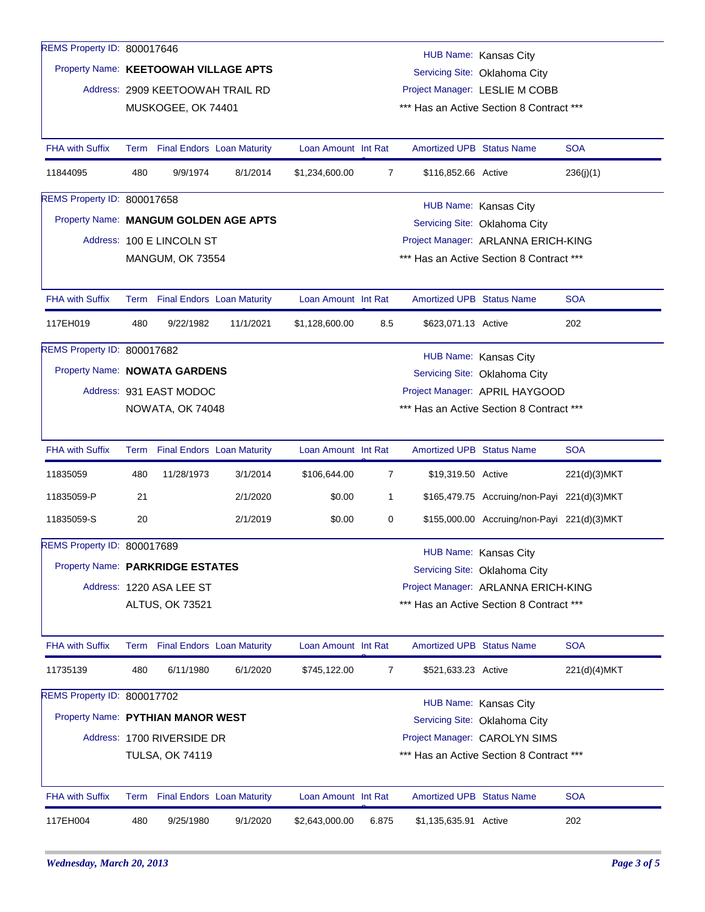| REMS Property ID: 800017646           |                                                                        |                                   |           |                     |                                                        |                                  | HUB Name: Kansas City                       |               |  |
|---------------------------------------|------------------------------------------------------------------------|-----------------------------------|-----------|---------------------|--------------------------------------------------------|----------------------------------|---------------------------------------------|---------------|--|
|                                       | Property Name: KEETOOWAH VILLAGE APTS<br>Servicing Site: Oklahoma City |                                   |           |                     |                                                        |                                  |                                             |               |  |
|                                       |                                                                        | Address: 2909 KEETOOWAH TRAIL RD  |           |                     |                                                        |                                  | Project Manager: LESLIE M COBB              |               |  |
|                                       |                                                                        | MUSKOGEE, OK 74401                |           |                     |                                                        |                                  | *** Has an Active Section 8 Contract ***    |               |  |
| <b>FHA with Suffix</b>                |                                                                        | Term Final Endors Loan Maturity   |           | Loan Amount Int Rat |                                                        | <b>Amortized UPB Status Name</b> |                                             | <b>SOA</b>    |  |
| 11844095                              | 480                                                                    | 9/9/1974                          | 8/1/2014  | \$1,234,600.00      | 7                                                      | \$116,852.66 Active              |                                             | 236(j)(1)     |  |
| REMS Property ID: 800017658           |                                                                        |                                   |           |                     |                                                        |                                  |                                             |               |  |
| Property Name: MANGUM GOLDEN AGE APTS |                                                                        |                                   |           |                     | HUB Name: Kansas City<br>Servicing Site: Oklahoma City |                                  |                                             |               |  |
|                                       |                                                                        | Address: 100 E LINCOLN ST         |           |                     | Project Manager: ARLANNA ERICH-KING                    |                                  |                                             |               |  |
|                                       |                                                                        | <b>MANGUM, OK 73554</b>           |           |                     |                                                        |                                  | *** Has an Active Section 8 Contract ***    |               |  |
| <b>FHA with Suffix</b>                |                                                                        | Term Final Endors Loan Maturity   |           | Loan Amount Int Rat |                                                        | <b>Amortized UPB Status Name</b> |                                             | <b>SOA</b>    |  |
| 117EH019                              | 480                                                                    | 9/22/1982                         | 11/1/2021 | \$1,128,600.00      | 8.5                                                    | \$623,071.13 Active              |                                             | 202           |  |
| REMS Property ID: 800017682           |                                                                        |                                   |           |                     |                                                        |                                  | HUB Name: Kansas City                       |               |  |
| Property Name: NOWATA GARDENS         |                                                                        |                                   |           |                     |                                                        |                                  | Servicing Site: Oklahoma City               |               |  |
|                                       | Address: 931 EAST MODOC<br>NOWATA, OK 74048                            |                                   |           |                     | Project Manager: APRIL HAYGOOD                         |                                  |                                             |               |  |
|                                       |                                                                        |                                   |           |                     | *** Has an Active Section 8 Contract ***               |                                  |                                             |               |  |
|                                       |                                                                        |                                   |           |                     |                                                        |                                  |                                             |               |  |
| <b>FHA with Suffix</b>                |                                                                        | Term Final Endors Loan Maturity   |           | Loan Amount Int Rat |                                                        | <b>Amortized UPB Status Name</b> |                                             | <b>SOA</b>    |  |
| 11835059                              | 480                                                                    | 11/28/1973                        | 3/1/2014  | \$106,644.00        | $\overline{7}$                                         | \$19,319.50 Active               |                                             | 221(d)(3)MKT  |  |
| 11835059-P                            | 21                                                                     |                                   | 2/1/2020  | \$0.00              | 1                                                      |                                  | \$165,479.75 Accruing/non-Payi 221(d)(3)MKT |               |  |
| 11835059-S                            | 20                                                                     |                                   | 2/1/2019  | \$0.00              | 0                                                      |                                  | \$155,000.00 Accruing/non-Payi 221(d)(3)MKT |               |  |
| REMS Property ID: 800017689           |                                                                        |                                   |           |                     |                                                        |                                  | HUB Name: Kansas City                       |               |  |
| Property Name: PARKRIDGE ESTATES      |                                                                        |                                   |           |                     |                                                        |                                  | Servicing Site: Oklahoma City               |               |  |
|                                       |                                                                        | Address: 1220 ASA LEE ST          |           |                     | Project Manager: ARLANNA ERICH-KING                    |                                  |                                             |               |  |
|                                       |                                                                        | ALTUS, OK 73521                   |           |                     |                                                        |                                  | *** Has an Active Section 8 Contract ***    |               |  |
| <b>FHA with Suffix</b>                |                                                                        | Term Final Endors Loan Maturity   |           | Loan Amount Int Rat |                                                        | <b>Amortized UPB Status Name</b> |                                             | <b>SOA</b>    |  |
| 11735139                              | 480                                                                    | 6/11/1980                         | 6/1/2020  | \$745,122.00        | 7                                                      | \$521,633.23 Active              |                                             | 221(d)(4) MKT |  |
| REMS Property ID: 800017702           |                                                                        |                                   |           |                     |                                                        |                                  | HUB Name: Kansas City                       |               |  |
| Property Name: PYTHIAN MANOR WEST     |                                                                        |                                   |           |                     |                                                        |                                  | Servicing Site: Oklahoma City               |               |  |
|                                       |                                                                        | Address: 1700 RIVERSIDE DR        |           |                     |                                                        |                                  | Project Manager: CAROLYN SIMS               |               |  |
|                                       |                                                                        | <b>TULSA, OK 74119</b>            |           |                     |                                                        |                                  | *** Has an Active Section 8 Contract ***    |               |  |
|                                       |                                                                        |                                   |           |                     |                                                        |                                  |                                             |               |  |
| <b>FHA with Suffix</b>                | Term                                                                   | <b>Final Endors Loan Maturity</b> |           | Loan Amount Int Rat |                                                        | Amortized UPB Status Name        |                                             | <b>SOA</b>    |  |
| 117EH004                              | 480                                                                    | 9/25/1980                         | 9/1/2020  | \$2,643,000.00      | 6.875                                                  | \$1,135,635.91 Active            |                                             | 202           |  |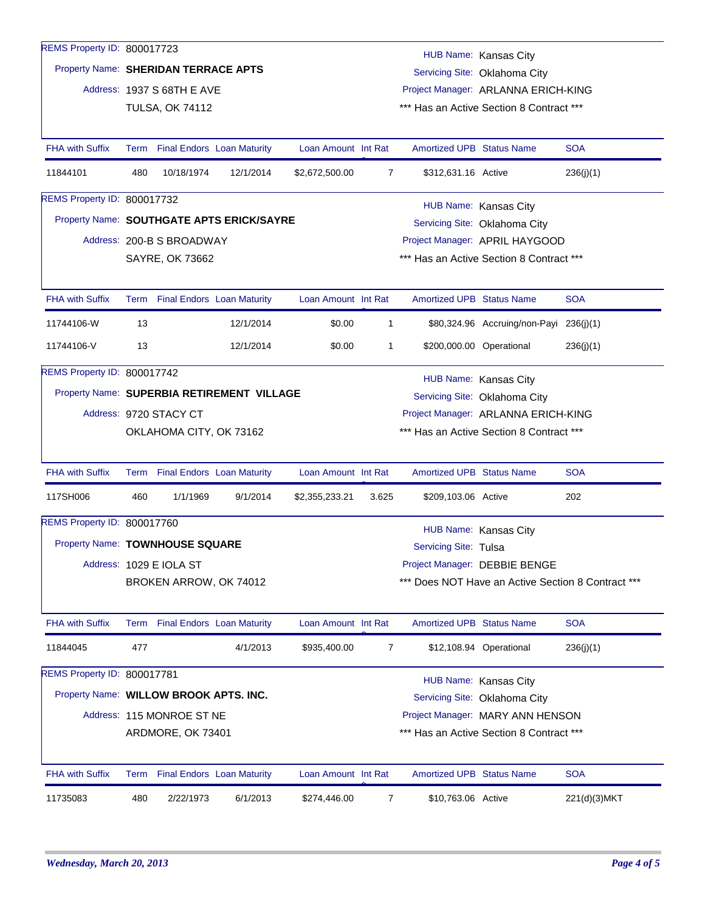| REMS Property ID: 800017723                |                                                                            |                                                               |           |                     |                                     |                                     |                                          |                                                    |  |  |  |  |
|--------------------------------------------|----------------------------------------------------------------------------|---------------------------------------------------------------|-----------|---------------------|-------------------------------------|-------------------------------------|------------------------------------------|----------------------------------------------------|--|--|--|--|
|                                            | HUB Name: Kansas City                                                      |                                                               |           |                     |                                     |                                     |                                          |                                                    |  |  |  |  |
|                                            | Property Name: SHERIDAN TERRACE APTS<br>Servicing Site: Oklahoma City      |                                                               |           |                     |                                     |                                     |                                          |                                                    |  |  |  |  |
|                                            | Address: 1937 S 68TH E AVE                                                 |                                                               |           |                     |                                     | Project Manager: ARLANNA ERICH-KING |                                          |                                                    |  |  |  |  |
|                                            |                                                                            | <b>TULSA, OK 74112</b>                                        |           |                     |                                     |                                     | *** Has an Active Section 8 Contract *** |                                                    |  |  |  |  |
| <b>FHA with Suffix</b>                     |                                                                            | Term Final Endors Loan Maturity                               |           | Loan Amount Int Rat |                                     | <b>Amortized UPB Status Name</b>    |                                          | <b>SOA</b>                                         |  |  |  |  |
| 11844101                                   | 480                                                                        | 10/18/1974                                                    | 12/1/2014 | \$2,672,500.00      | 7                                   | \$312,631.16 Active                 |                                          | 236(j)(1)                                          |  |  |  |  |
| REMS Property ID: 800017732                |                                                                            | HUB Name: Kansas City                                         |           |                     |                                     |                                     |                                          |                                                    |  |  |  |  |
|                                            | Property Name: SOUTHGATE APTS ERICK/SAYRE<br>Servicing Site: Oklahoma City |                                                               |           |                     |                                     |                                     |                                          |                                                    |  |  |  |  |
|                                            |                                                                            | Address: 200-B S BROADWAY                                     |           |                     |                                     | Project Manager: APRIL HAYGOOD      |                                          |                                                    |  |  |  |  |
|                                            |                                                                            | SAYRE, OK 73662                                               |           |                     |                                     |                                     | *** Has an Active Section 8 Contract *** |                                                    |  |  |  |  |
| <b>FHA with Suffix</b>                     |                                                                            | Term Final Endors Loan Maturity                               |           | Loan Amount Int Rat |                                     | <b>Amortized UPB Status Name</b>    |                                          | <b>SOA</b>                                         |  |  |  |  |
| 11744106-W                                 | 13                                                                         |                                                               | 12/1/2014 | \$0.00              | 1                                   |                                     | \$80,324.96 Accruing/non-Payi 236(j)(1)  |                                                    |  |  |  |  |
| 11744106-V                                 | 13                                                                         |                                                               | 12/1/2014 | \$0.00              | 1                                   |                                     | \$200,000.00 Operational                 | 236(j)(1)                                          |  |  |  |  |
| REMS Property ID: 800017742                |                                                                            |                                                               |           |                     |                                     |                                     | HUB Name: Kansas City                    |                                                    |  |  |  |  |
| Property Name: SUPERBIA RETIREMENT VILLAGE |                                                                            |                                                               |           |                     | Servicing Site: Oklahoma City       |                                     |                                          |                                                    |  |  |  |  |
|                                            |                                                                            | Address: 9720 STACY CT                                        |           |                     | Project Manager: ARLANNA ERICH-KING |                                     |                                          |                                                    |  |  |  |  |
|                                            |                                                                            | OKLAHOMA CITY, OK 73162                                       |           |                     |                                     |                                     | *** Has an Active Section 8 Contract *** |                                                    |  |  |  |  |
| <b>FHA with Suffix</b>                     |                                                                            | Term Final Endors Loan Maturity                               |           | Loan Amount Int Rat |                                     | <b>Amortized UPB Status Name</b>    |                                          | <b>SOA</b>                                         |  |  |  |  |
| 117SH006                                   | 460                                                                        | 1/1/1969                                                      | 9/1/2014  | \$2,355,233.21      | 3.625                               | \$209,103.06 Active                 |                                          | 202                                                |  |  |  |  |
| REMS Property ID: 800017760                |                                                                            |                                                               |           |                     |                                     |                                     | HUB Name: Kansas City                    |                                                    |  |  |  |  |
| Property Name: TOWNHOUSE SQUARE            |                                                                            |                                                               |           |                     |                                     | Servicing Site: Tulsa               |                                          |                                                    |  |  |  |  |
|                                            |                                                                            | Address: 1029 E IOLA ST                                       |           |                     |                                     | Project Manager: DEBBIE BENGE       |                                          |                                                    |  |  |  |  |
|                                            |                                                                            | BROKEN ARROW, OK 74012                                        |           |                     |                                     |                                     |                                          | *** Does NOT Have an Active Section 8 Contract *** |  |  |  |  |
| <b>FHA with Suffix</b>                     |                                                                            | Term Final Endors Loan Maturity                               |           | Loan Amount Int Rat |                                     | Amortized UPB Status Name           |                                          | <b>SOA</b>                                         |  |  |  |  |
| 11844045                                   | 477                                                                        |                                                               | 4/1/2013  | \$935,400.00        | 7                                   |                                     | \$12,108.94 Operational                  | 236(i)(1)                                          |  |  |  |  |
| REMS Property ID: 800017781                |                                                                            |                                                               |           |                     |                                     |                                     | HUB Name: Kansas City                    |                                                    |  |  |  |  |
| Property Name: WILLOW BROOK APTS. INC.     |                                                                            |                                                               |           |                     |                                     |                                     | Servicing Site: Oklahoma City            |                                                    |  |  |  |  |
|                                            | Address: 115 MONROE ST NE<br>Project Manager: MARY ANN HENSON              |                                                               |           |                     |                                     |                                     |                                          |                                                    |  |  |  |  |
|                                            |                                                                            | *** Has an Active Section 8 Contract ***<br>ARDMORE, OK 73401 |           |                     |                                     |                                     |                                          |                                                    |  |  |  |  |
| <b>FHA with Suffix</b>                     |                                                                            | Term Final Endors Loan Maturity                               |           | Loan Amount Int Rat |                                     | <b>Amortized UPB Status Name</b>    |                                          | <b>SOA</b>                                         |  |  |  |  |
| 11735083                                   | 480                                                                        | 2/22/1973                                                     | 6/1/2013  | \$274,446.00        | 7                                   | \$10,763.06 Active                  |                                          | 221(d)(3) MKT                                      |  |  |  |  |